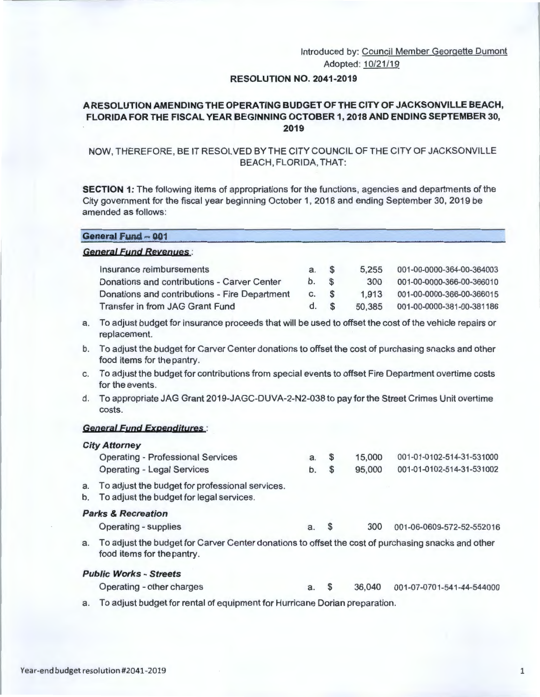# Introduced by: Council Member Georgette Dumont Adopted: 10/21/19

## **RESOLUTION NO. 2041-2019**

# **A RESOLUTION AMENDING THE OPERA TING BUDGET OF THE CITY OF JACKSONVILLE BEACH, FLORIDA FOR THE FISCAL YEAR BEGINNING OCTOBER 1, 2018 AND ENDING SEPTEMBER 30, 2019**

# NOW, THEREFORE, BE IT RESOLVED BY THE CITY COUNCIL OF THE CITY OF JACKSONVILLE BEACH , FLORIDA, THAT:

**SECTION 1:** The following items of appropriations for the functions, agencies and departments of the City government for the fiscal year beginning October 1, 2018 and ending September 30, 2019 be amended as follows:

| <b>General Fund - 001</b>                     |      |          |        |                           |  |  |  |
|-----------------------------------------------|------|----------|--------|---------------------------|--|--|--|
| <b>General Fund Revenues:</b>                 |      |          |        |                           |  |  |  |
| Insurance reimbursements                      | a. S |          | 5.255  | 001-00-0000-364-00-364003 |  |  |  |
| Donations and contributions - Carver Center   | b.   | <b>S</b> | 300    | 001-00-0000-366-00-366010 |  |  |  |
| Donations and contributions - Fire Department | c.   | <b>S</b> | 1.913  | 001-00-0000-366-00-366015 |  |  |  |
| <b>Transfer in from JAG Grant Fund</b>        | d.   | <b>S</b> | 50.385 | 001-00-0000-381-00-381186 |  |  |  |

- a. To adjust budget for insurance proceeds that will be used to offset the cost of the vehicle repairs or replacement.
- b. To adjust the budget for Carver Center donations to offset the cost of purchasing snacks and other food items for the pantry.
- c. To adjust the budget for contributions from special events to offset Fire Department overtime costs for the events.
- d. To appropriate JAG Grant 2019-JAGC-DUVA-2-N2-038 to pay for the Street Crimes Unit overtime costs.

## **General fund Expenditures** :

|          | <b>City Attorney</b>                                                                                                             |    |              |        |                           |
|----------|----------------------------------------------------------------------------------------------------------------------------------|----|--------------|--------|---------------------------|
|          | <b>Operating - Professional Services</b>                                                                                         | a. | $\mathbf{s}$ | 15,000 | 001-01-0102-514-31-531000 |
|          | <b>Operating - Legal Services</b>                                                                                                | b. | <b>S</b>     | 95,000 | 001-01-0102-514-31-531002 |
| a.<br>b. | To adjust the budget for professional services.<br>To adjust the budget for legal services.                                      |    |              |        |                           |
|          | <b>Parks &amp; Recreation</b>                                                                                                    |    |              |        |                           |
|          | <b>Operating - supplies</b>                                                                                                      | a. | <b>S</b>     | 300    | 001-06-0609-572-52-552016 |
| a.       | To adjust the budget for Carver Center donations to offset the cost of purchasing snacks and other<br>food items for the pantry. |    |              |        |                           |
|          |                                                                                                                                  |    |              |        |                           |

#### **Public Works - Streets**

- Operating other charges a. \$ **36,040** 001-07-0701-541-44-544000
- a. To adjust budget for rental of equipment for Hurricane Dorian preparation.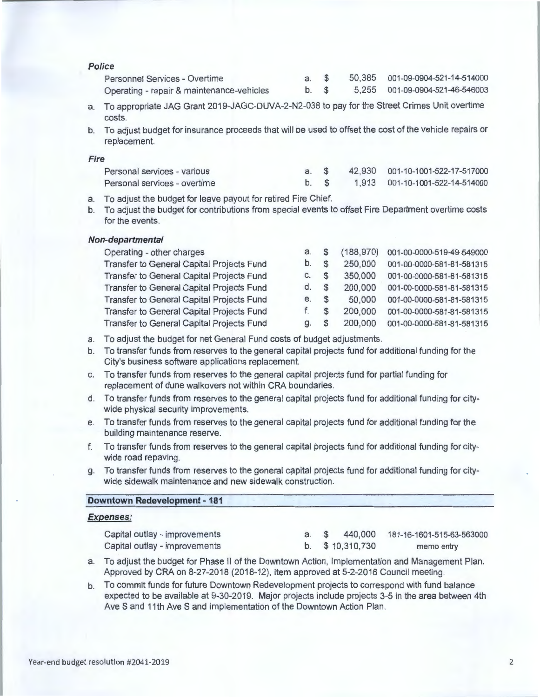| Police                                                                                                                                                                                              |    |                  |                           |
|-----------------------------------------------------------------------------------------------------------------------------------------------------------------------------------------------------|----|------------------|---------------------------|
| Personnel Services - Overtime                                                                                                                                                                       | a. | \$<br>50,385     | 001-09-0904-521-14-514000 |
| Operating - repair & maintenance-vehicles                                                                                                                                                           | b. | \$<br>5,255      | 001-09-0904-521-46-546003 |
| To appropriate JAG Grant 2019-JAGC-DUVA-2-N2-038 to pay for the Street Crimes Unit overtime<br>a.<br>costs.                                                                                         |    |                  |                           |
| To adjust budget for insurance proceeds that will be used to offset the cost of the vehicle repairs or<br>$\mathbf b$ .<br>replacement.                                                             |    |                  |                           |
| <b>Fire</b>                                                                                                                                                                                         |    |                  |                           |
| Personal services - various                                                                                                                                                                         | a. | \$<br>42,930     | 001-10-1001-522-17-517000 |
| Personal services - overtime                                                                                                                                                                        | b. | \$<br>1,913      | 001-10-1001-522-14-514000 |
| To adjust the budget for leave payout for retired Fire Chief.<br>a.<br>To adjust the budget for contributions from special events to offset Fire Department overtime costs<br>b.<br>for the events. |    |                  |                           |
| Non-departmental                                                                                                                                                                                    |    |                  |                           |
| Operating - other charges                                                                                                                                                                           | a. | \$<br>(188, 970) | 001-00-0000-519-49-549000 |
| <b>Transfer to General Capital Projects Fund</b>                                                                                                                                                    | b. | \$<br>250,000    | 001-00-0000-581-81-581315 |
| Transfer to General Capital Projects Fund                                                                                                                                                           | C. | \$<br>350,000    | 001-00-0000-581-81-581315 |
| Transfer to General Capital Projects Fund                                                                                                                                                           | d. | \$<br>200,000    | 001-00-0000-581-81-581315 |
| <b>Transfer to General Capital Projects Fund</b>                                                                                                                                                    | e. | \$<br>50,000     | 001-00-0000-581-81-581315 |

| Operating - other charges                 | а. | (188, 970)    | 001-00-0000-519-49-549000 |
|-------------------------------------------|----|---------------|---------------------------|
| Transfer to General Capital Projects Fund | b. | 250,000       | 001-00-0000-581-81-581315 |
| Transfer to General Capital Projects Fund | C. | \$<br>350,000 | 001-00-0000-581-81-581315 |
| Transfer to General Capital Projects Fund | d. | 200,000       | 001-00-0000-581-81-581315 |
| Transfer to General Capital Projects Fund | е. | 50,000        | 001-00-0000-581-81-581315 |
| Transfer to General Capital Projects Fund |    | 200,000       | 001-00-0000-581-81-581315 |
| Transfer to General Capital Projects Fund | g. | 200,000       | 001-00-0000-581-81-581315 |

a. To adjust the budget for net General Fund costs of budget adjustments.

- b. To transfer funds from reserves to the general capital projects fund for additional funding for the City's business software applications replacement.
- c. To transfer funds from reserves to the general capital projects fund for partial funding for replacement of dune walkovers not within CRA boundaries.
- d. To transfer funds from reserves to the general capital projects fund for additional funding for citywide physical security improvements.
- e. To transfer funds from reserves to the general capital projects fund for additional funding for the building maintenance reserve.
- f. To transfer funds from reserves to the general capital projects fund for additional funding for citywide road repaving.
- g. To transfer funds from reserves to the general capital projects fund for additional funding for citywide sidewalk maintenance and new sidewalk construction.

### **Downtown Redevelopment - 181**

#### **Expenses:**

| Capital outlay - improvements |  |                 | a. \$ 440,000 181-16-1601-515-63-563000 |
|-------------------------------|--|-----------------|-----------------------------------------|
| Capital outlay - improvements |  | b. \$10,310,730 | memo entry                              |

- a. To adjust the budget for Phase II of the Downtown Action, Implementation and Management Plan. Approved by CRA on 8-27-2018 (2018-12), item approved at 5-2-2016 Council meeting.
- b. To commit funds for future Downtown Redevelopment projects to correspond with fund balance expected to be available at 9-30-2019. Major projects include projects 3-5 in the area between 4th Ave S and 11th Ave S and implementation of the Downtown Action Plan.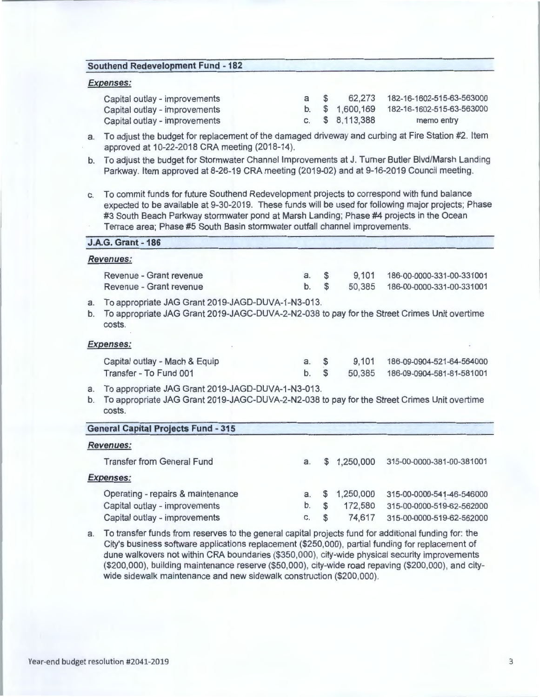#### **Southend Redevelopment Fund - 182**

## **Expenses:**

**J.A.G. Grant -186** 

| Capital outlay - improvements | a S |                 | 62.273  182-16-1602-515-63-563000        |
|-------------------------------|-----|-----------------|------------------------------------------|
| Capital outlay - improvements |     |                 | b. \$1,600,169 182-16-1602-515-63-563000 |
| Capital outlay - improvements |     | c. $$8,113,388$ | memo entry                               |

- a. To adjust the budget for replacement of the damaged driveway and curbing at Fire Station #2. Item approved at 10-22-2018 CRA meeting (2018-14).
- b. To adjust the budget for Stormwater Channel Improvements at J. Turner Butler Blvd/Marsh Landing Parkway. Item approved at 8-26-19 CRA meeting (2019-02) and at 9-16-2019 Council meeting.
- c. To commit funds for future Southend Redevelopment projects to correspond with fund balance expected to be available at 9-30-2019. These funds will be used for following major projects; Phase #3 South Beach Parkway stormwater pond at Marsh Landing; Phase #4 projects in the Ocean Terrace area; Phase #5 South Basin stormwater outfall channel improvements.

|          | <b>J.A.O. OIAIL - 100</b>                                                                                                                                  |          |                      |                 |                                                        |
|----------|------------------------------------------------------------------------------------------------------------------------------------------------------------|----------|----------------------|-----------------|--------------------------------------------------------|
|          | <b>Revenues:</b>                                                                                                                                           |          |                      |                 |                                                        |
|          | Revenue - Grant revenue<br>Revenue - Grant revenue                                                                                                         | a.<br>b. | $\mathfrak{F}$<br>\$ | 9,101<br>50,385 | 186-00-0000-331-00-331001<br>186-00-0000-331-00-331001 |
| a.<br>b. | To appropriate JAG Grant 2019-JAGD-DUVA-1-N3-013.<br>To appropriate JAG Grant 2019-JAGC-DUVA-2-N2-038 to pay for the Street Crimes Unit overtime<br>costs. |          |                      |                 |                                                        |
|          | <b>Expenses:</b>                                                                                                                                           |          |                      |                 |                                                        |
|          | Capital outlay - Mach & Equip                                                                                                                              | $a.$ \$  |                      | 9,101           | 186-09-0904-521-64-564000                              |
|          | Transfer - To Fund 001                                                                                                                                     | $b$ .    | $\mathfrak{s}$       | 50.385          | 186-09-0904-581-81-581001                              |
| a.<br>b. | To appropriate JAG Grant 2019-JAGD-DUVA-1-N3-013.<br>To appropriate JAG Grant 2019-JAGC-DUVA-2-N2-038 to pay for the Street Crimes Unit overtime<br>costs. |          |                      |                 |                                                        |

| <b>General Capital Projects Fund - 315</b> |    |             |           |                           |
|--------------------------------------------|----|-------------|-----------|---------------------------|
| <b>Revenues:</b>                           |    |             |           |                           |
| <b>Transfer from General Fund</b>          | a. | S           | 1,250,000 | 315-00-0000-381-00-381001 |
| <b>Expenses:</b>                           |    |             |           |                           |
| Operating - repairs & maintenance          | a. | S           | 1,250,000 | 315-00-0000-541-46-546000 |
| Capital outlay - improvements              | b. | $\mathbf s$ | 172,580   | 315-00-0000-519-62-562000 |
| Capital outlay - improvements              | C. | \$          | 74,617    | 315-00-0000-519-62-562000 |

a. To transfer funds from reserves to the general capital projects fund for additional funding for: the City's business software applications replacement (\$250,000), partial funding for replacement of dune walkovers not within CRA boundaries (\$350,000), city-wide physical security improvements (\$200,000), building maintenance reserve (\$50,000), city-wide road repaving (\$200,000), and citywide sidewalk maintenance and new sidewalk construction (\$200,000).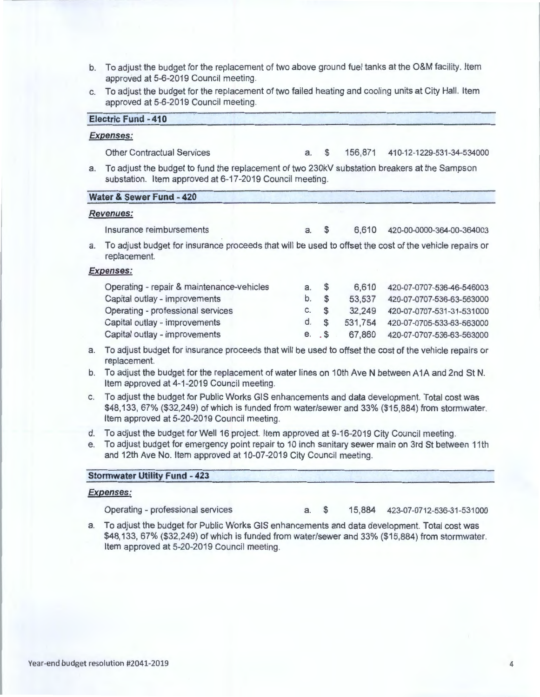- b. To adjust the budget for the replacement of two above ground fuel tanks at the O&M facility. Item approved at 5-6-2019 Council meeting.
- c. To adjust the budget for the replacement of two failed heating and cooling units at City Hall. Item approved at 5-6-2019 Council meeting.

|    | <b>Electric Fund - 410</b>                                                                                                                              |    |               |         |                           |
|----|---------------------------------------------------------------------------------------------------------------------------------------------------------|----|---------------|---------|---------------------------|
|    | <b>Expenses:</b>                                                                                                                                        |    |               |         |                           |
|    | <b>Other Contractual Services</b>                                                                                                                       | a. | \$            | 156,871 | 410-12-1229-531-34-534000 |
| a. | To adjust the budget to fund the replacement of two 230kV substation breakers at the Sampson<br>substation. Item approved at 6-17-2019 Council meeting. |    |               |         |                           |
|    | Water & Sewer Fund - 420                                                                                                                                |    |               |         |                           |
|    | <b>Revenues:</b>                                                                                                                                        |    |               |         |                           |
|    | Insurance reimbursements                                                                                                                                | a. | \$            | 6,610   | 420-00-0000-364-00-364003 |
| a. | To adjust budget for insurance proceeds that will be used to offset the cost of the vehicle repairs or<br>replacement.                                  |    |               |         |                           |
|    | <b>Expenses:</b>                                                                                                                                        |    |               |         |                           |
|    | Operating - repair & maintenance-vehicles                                                                                                               | a. | \$            | 6,610   | 420-07-0707-536-46-546003 |
|    | Capital outlay - improvements                                                                                                                           | b. | $\mathsf{\$}$ | 53,537  | 420-07-0707-536-63-563000 |
|    | Operating - professional services                                                                                                                       | C. | \$            | 32,249  | 420-07-0707-531-31-531000 |
|    | Capital outlay - improvements                                                                                                                           | d. | $\mathsf{\$}$ | 531,754 | 420-07-0705-533-63-563000 |
|    | Capital outlay - improvements                                                                                                                           | е. | $.$ $$$       | 67,860  | 420-07-0707-536-63-563000 |
| a. | To adjust budget for insurance proceeds that will be used to offset the cost of the vehicle repairs or                                                  |    |               |         |                           |

- replacement. b. To adjust the budget for the replacement of water lines on 10th Ave N between A 1A and 2nd St N. Item approved at 4-1-2019 Council meeting.
- c. To adjust the budget for Public Works GIS enhancements and data development. Total cost was \$48,133, 67% (\$32,249) of which is funded from water/sewer and 33% (\$15,884) from stormwater. Item approved at 5-20-2019 Council meeting.
- d. To adjust the budget for Well 16 project. Item approved at 9-16-2019 City Council meeting.
- e. To adjust budget for emergency point repair to 10 inch sanitary sewer main on 3rd St between 11th and 12th Ave No. Item approved at 10-07-2019 City Council meeting.

### **Stormwater Utility Fund - 423**

#### **Expenses:**

Operating - professional services a. \$ 15,884 423-07-0712-536-31 -531000

a. To adjust the budget for Public Works GIS enhancements and data development. Total cost was \$48,133, 67% (\$32,249) of which is funded from water/sewer and 33% (\$15,884) from stormwater. Item approved at 5-20-2019 Council meeting.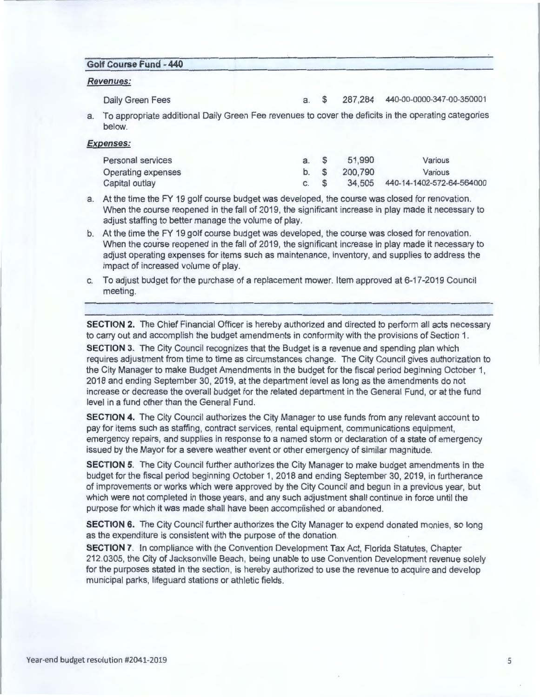### **Golf Course Fund - 440**

#### **Revenues:**

Daily Green Fees a. \$ 287,284 440-00-0000-347-00-350001

a. To appropriate additional Daily Green Fee revenues to cover the deficits in the operating categories below.

#### **Expenses:**

| Personal services  | a. S |      | 51,990  | Various                          |
|--------------------|------|------|---------|----------------------------------|
| Operating expenses |      | b. S | 200.790 | Various                          |
| Capital outlay     | C. S |      |         | 34,505 440-14-1402-572-64-564000 |

a. At the time the FY 19 golf course budget was developed, the course was closed for renovation. When the course reopened in the fall of 2019, the significant increase in play made it necessary to adjust staffing to better manage the volume of play.

- b. At the time the FY 19 golf course budget was developed, the course was closed for renovation . When the course reopened in the fall of 2019, the significant increase in play made it necessary to adjust operating expenses for items such as maintenance, inventory, and supplies to address the impact of increased volume of play.
- c. To adjust budget for the purchase of a replacement mower. Item approved at 6-17-2019 Council meeting.

**SECTION 2.** The Chief Financial Officer is hereby authorized and directed to perform all acts necessary to carry out and accomplish the budget amendments in conformity with the provisions of Section 1.

**SECTION 3.** The City Council recognizes that the Budget is a revenue and spending plan which requires adjustment from time to time as circumstances change. The City Council gives authorization to the City Manager to make Budget Amendments in the budget for the fiscal period beginning October 1, 2018 and ending September 30 , 2019, at the department level as long as the amendments do not increase or decrease the overall budget for the related department in the General Fund, or at the fund level in a fund other than the General Fund.

**SECTION 4.** The City Council authorizes the City Manager to use funds from any relevant account to pay for items such as staffing, contract services, rental equipment, communications equipment, emergency repairs, and supplies in response to a named storm or declaration of a state of emergency issued by the Mayor for a severe weather event or other emergency of similar magnitude.

**SECTION 5.** The City Council further authorizes the City Manager to make budget amendments in the budget for the fiscal period beginning October 1, 2018 and ending September 30, 2019, in furtherance of improvements or works which were approved by the City Council and begun in a previous year, but which were not completed in those years, and any such adjustment shall continue in force until the purpose for which it was made shall have been accomplished or abandoned.

**SECTION 6.** The City Council further authorizes the City Manager to expend donated monies, so long as the expenditure is consistent with the purpose of the donation.

**SECTION 7.** In compliance with the Convention Development Tax Act, Florida Statutes, Chapter 212.0305, the City of Jacksonville Beach, being unable to use Convention Development revenue solely for the purposes stated in the section, is hereby authorized to use the revenue to acquire and develop municipal parks, lifeguard stations or athletic fields.